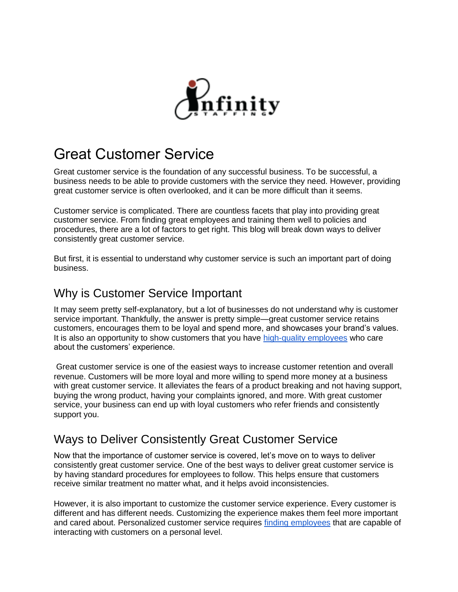

# Great Customer Service

Great customer service is the foundation of any successful business. To be successful, a business needs to be able to provide customers with the service they need. However, providing great customer service is often overlooked, and it can be more difficult than it seems.

Customer service is complicated. There are countless facets that play into providing great customer service. From finding great employees and training them well to policies and procedures, there are a lot of factors to get right. This blog will break down ways to deliver consistently great customer service.

But first, it is essential to understand why customer service is such an important part of doing business.

### Why is Customer Service Important

It may seem pretty self-explanatory, but a lot of businesses do not understand why is customer service important. Thankfully, the answer is pretty simple—great customer service retains customers, encourages them to be loyal and spend more, and showcases your brand's values. It is also an opportunity to show customers that you have [high-quality employees](https://infinity-staffing.biz/employment-agency/) who care about the customers' experience.

Great customer service is one of the easiest ways to increase customer retention and overall revenue. Customers will be more loyal and more willing to spend more money at a business with great customer service. It alleviates the fears of a product breaking and not having support, buying the wrong product, having your complaints ignored, and more. With great customer service, your business can end up with loyal customers who refer friends and consistently support you.

### Ways to Deliver Consistently Great Customer Service

Now that the importance of customer service is covered, let's move on to ways to deliver consistently great customer service. One of the best ways to deliver great customer service is by having standard procedures for employees to follow. This helps ensure that customers receive similar treatment no matter what, and it helps avoid inconsistencies.

However, it is also important to customize the customer service experience. Every customer is different and has different needs. Customizing the experience makes them feel more important and cared about. Personalized customer service requires [finding employees](https://infinity-staffing.biz/contact/) that are capable of interacting with customers on a personal level.